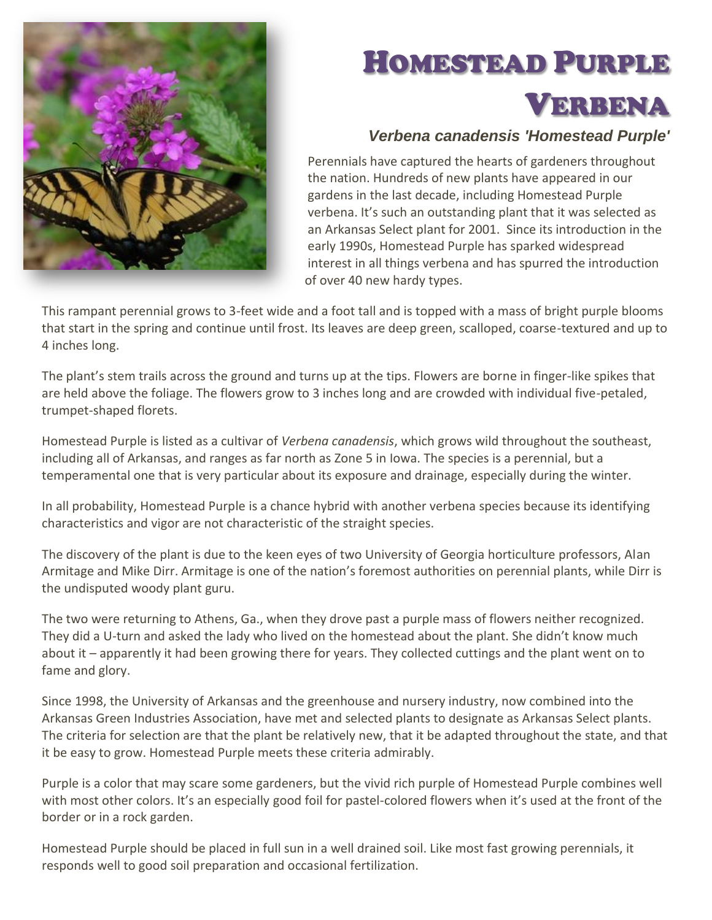

## HOMESTEAD PURPLE VERBENA

## *Verbena canadensis 'Homestead Purple'*

Perennials have captured the hearts of gardeners throughout the nation. Hundreds of new plants have appeared in our gardens in the last decade, including Homestead Purple verbena. It's such an outstanding plant that it was selected as an Arkansas Select plant for 2001. Since its introduction in the early 1990s, Homestead Purple has sparked widespread interest in all things verbena and has spurred the introduction of over 40 new hardy types.

This rampant perennial grows to 3-feet wide and a foot tall and is topped with a mass of bright purple blooms that start in the spring and continue until frost. Its leaves are deep green, scalloped, coarse-textured and up to 4 inches long.

The plant's stem trails across the ground and turns up at the tips. Flowers are borne in finger-like spikes that are held above the foliage. The flowers grow to 3 inches long and are crowded with individual five-petaled, trumpet-shaped florets.

Homestead Purple is listed as a cultivar of *Verbena canadensis*, which grows wild throughout the southeast, including all of Arkansas, and ranges as far north as Zone 5 in Iowa. The species is a perennial, but a temperamental one that is very particular about its exposure and drainage, especially during the winter.

In all probability, Homestead Purple is a chance hybrid with another verbena species because its identifying characteristics and vigor are not characteristic of the straight species.

The discovery of the plant is due to the keen eyes of two University of Georgia horticulture professors, Alan Armitage and Mike Dirr. Armitage is one of the nation's foremost authorities on perennial plants, while Dirr is the undisputed woody plant guru.

The two were returning to Athens, Ga., when they drove past a purple mass of flowers neither recognized. They did a U-turn and asked the lady who lived on the homestead about the plant. She didn't know much about it – apparently it had been growing there for years. They collected cuttings and the plant went on to fame and glory.

Since 1998, the University of Arkansas and the greenhouse and nursery industry, now combined into the Arkansas Green Industries Association, have met and selected plants to designate as Arkansas Select plants. The criteria for selection are that the plant be relatively new, that it be adapted throughout the state, and that it be easy to grow. Homestead Purple meets these criteria admirably.

Purple is a color that may scare some gardeners, but the vivid rich purple of Homestead Purple combines well with most other colors. It's an especially good foil for pastel-colored flowers when it's used at the front of the border or in a rock garden.

Homestead Purple should be placed in full sun in a well drained soil. Like most fast growing perennials, it responds well to good soil preparation and occasional fertilization.